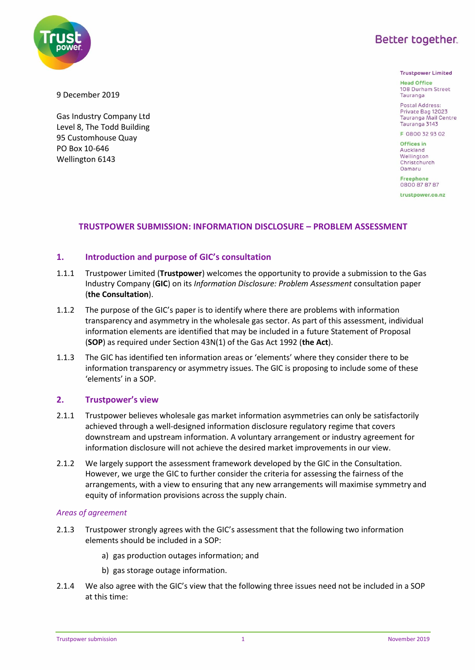

9 December 2019

PO Box 10-646 Wellington 6143

Gas Industry Company Ltd Level 8, The Todd Building 95 Customhouse Quay

**Trustpower Limited** 

**Head Office** 108 Durham Street Tauranga

Postal Address Private Bag 12023 Tauranga Mail Centre Tauranga 3143

F 0800 32 93 02 Offices in

Auckland Wellington Christchurch Oamaru

**Freephone** 0800 87 87 87

trustpower.co.nz

## **TRUSTPOWER SUBMISSION: INFORMATION DISCLOSURE – PROBLEM ASSESSMENT**

## **1. Introduction and purpose of GIC's consultation**

- 1.1.1 Trustpower Limited (**Trustpower**) welcomes the opportunity to provide a submission to the Gas Industry Company (**GIC**) on its *Information Disclosure: Problem Assessment* consultation paper (**the Consultation**).
- 1.1.2 The purpose of the GIC's paper is to identify where there are problems with information transparency and asymmetry in the wholesale gas sector. As part of this assessment, individual information elements are identified that may be included in a future Statement of Proposal (**SOP**) as required under Section 43N(1) of the Gas Act 1992 (**the Act**).
- 1.1.3 The GIC has identified ten information areas or 'elements' where they consider there to be information transparency or asymmetry issues. The GIC is proposing to include some of these 'elements' in a SOP.

#### **2. Trustpower's view**

- 2.1.1 Trustpower believes wholesale gas market information asymmetries can only be satisfactorily achieved through a well-designed information disclosure regulatory regime that covers downstream and upstream information. A voluntary arrangement or industry agreement for information disclosure will not achieve the desired market improvements in our view.
- 2.1.2 We largely support the assessment framework developed by the GIC in the Consultation. However, we urge the GIC to further consider the criteria for assessing the fairness of the arrangements, with a view to ensuring that any new arrangements will maximise symmetry and equity of information provisions across the supply chain.

#### *Areas of agreement*

- 2.1.3 Trustpower strongly agrees with the GIC's assessment that the following two information elements should be included in a SOP:
	- a) gas production outages information; and
	- b) gas storage outage information.
- 2.1.4 We also agree with the GIC's view that the following three issues need not be included in a SOP at this time: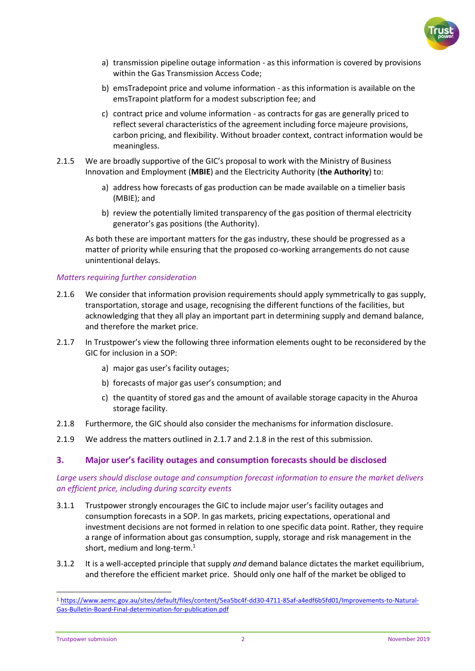

- a) transmission pipeline outage information as this information is covered by provisions within the Gas Transmission Access Code;
- b) emsTradepoint price and volume information as this information is available on the emsTrapoint platform for a modest subscription fee; and
- c) contract price and volume information as contracts for gas are generally priced to reflect several characteristics of the agreement including force majeure provisions, carbon pricing, and flexibility. Without broader context, contract information would be meaningless.
- 2.1.5 We are broadly supportive of the GIC's proposal to work with the Ministry of Business Innovation and Employment (**MBIE**) and the Electricity Authority (**the Authority**) to:
	- a) address how forecasts of gas production can be made available on a timelier basis (MBIE); and
	- b) review the potentially limited transparency of the gas position of thermal electricity generator's gas positions (the Authority).

As both these are important matters for the gas industry, these should be progressed as a matter of priority while ensuring that the proposed co-working arrangements do not cause unintentional delays.

## *Matters requiring further consideration*

- 2.1.6 We consider that information provision requirements should apply symmetrically to gas supply, transportation, storage and usage, recognising the different functions of the facilities, but acknowledging that they all play an important part in determining supply and demand balance, and therefore the market price.
- 2.1.7 In Trustpower's view the following three information elements ought to be reconsidered by the GIC for inclusion in a SOP:
	- a) major gas user's facility outages;
	- b) forecasts of major gas user's consumption; and
	- c) the quantity of stored gas and the amount of available storage capacity in the Ahuroa storage facility.
- 2.1.8 Furthermore, the GIC should also consider the mechanisms for information disclosure.
- 2.1.9 We address the matters outlined in 2.1.7 and 2.1.8 in the rest of this submission.

# **3. Major user's facility outages and consumption forecasts should be disclosed**

## *Large users should disclose outage and consumption forecast information to ensure the market delivers an efficient price, including during scarcity events*

- 3.1.1 Trustpower strongly encourages the GIC to include major user's facility outages and consumption forecasts in a SOP. In gas markets, pricing expectations, operational and investment decisions are not formed in relation to one specific data point. Rather, they require a range of information about gas consumption, supply, storage and risk management in the short, medium and long-term. $<sup>1</sup>$ </sup>
- 3.1.2 It is a well-accepted principle that supply *and* demand balance dictates the market equilibrium, and therefore the efficient market price. Should only one half of the market be obliged to

<sup>1</sup> [https://www.aemc.gov.au/sites/default/files/content/5ea5bc4f-dd30-4711-85af-a4edf6b5fd01/Improvements-to-Natural-](https://www.aemc.gov.au/sites/default/files/content/5ea5bc4f-dd30-4711-85af-a4edf6b5fd01/Improvements-to-Natural-Gas-Bulletin-Board-Final-determination-for-publication.pdf)[Gas-Bulletin-Board-Final-determination-for-publication.pdf](https://www.aemc.gov.au/sites/default/files/content/5ea5bc4f-dd30-4711-85af-a4edf6b5fd01/Improvements-to-Natural-Gas-Bulletin-Board-Final-determination-for-publication.pdf)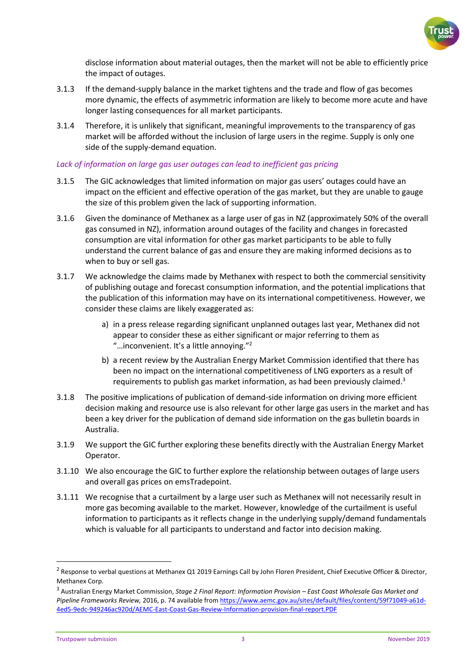

disclose information about material outages, then the market will not be able to efficiently price the impact of outages.

- 3.1.3 If the demand-supply balance in the market tightens and the trade and flow of gas becomes more dynamic, the effects of asymmetric information are likely to become more acute and have longer lasting consequences for all market participants.
- 3.1.4 Therefore, it is unlikely that significant, meaningful improvements to the transparency of gas market will be afforded without the inclusion of large users in the regime. Supply is only one side of the supply-demand equation.

#### Lack of information on large gas user outages can lead to inefficient gas pricing

- 3.1.5 The GIC acknowledges that limited information on major gas users' outages could have an impact on the efficient and effective operation of the gas market, but they are unable to gauge the size of this problem given the lack of supporting information.
- 3.1.6 Given the dominance of Methanex as a large user of gas in NZ (approximately 50% of the overall gas consumed in NZ), information around outages of the facility and changes in forecasted consumption are vital information for other gas market participants to be able to fully understand the current balance of gas and ensure they are making informed decisions as to when to buy or sell gas.
- 3.1.7 We acknowledge the claims made by Methanex with respect to both the commercial sensitivity of publishing outage and forecast consumption information, and the potential implications that the publication of this information may have on its international competitiveness. However, we consider these claims are likely exaggerated as:
	- a) in a press release regarding significant unplanned outages last year, Methanex did not appear to consider these as either significant or major referring to them as "... inconvenient. It's a little annoying."<sup>2</sup>
	- b) a recent review by the Australian Energy Market Commission identified that there has been no impact on the international competitiveness of LNG exporters as a result of requirements to publish gas market information, as had been previously claimed.<sup>3</sup>
- 3.1.8 The positive implications of publication of demand-side information on driving more efficient decision making and resource use is also relevant for other large gas users in the market and has been a key driver for the publication of demand side information on the gas bulletin boards in Australia.
- 3.1.9 We support the GIC further exploring these benefits directly with the Australian Energy Market Operator.
- 3.1.10 We also encourage the GIC to further explore the relationship between outages of large users and overall gas prices on emsTradepoint.
- 3.1.11 We recognise that a curtailment by a large user such as Methanex will not necessarily result in more gas becoming available to the market. However, knowledge of the curtailment is useful information to participants as it reflects change in the underlying supply/demand fundamentals which is valuable for all participants to understand and factor into decision making.

<sup>&</sup>lt;sup>2</sup> Response to verbal questions at Methanex Q1 2019 Earnings Call by John Floren President, Chief Executive Officer & Director, Methanex Corp.

<sup>&</sup>lt;sup>3</sup> Australian Energy Market Commission, *Stage 2 Final Report: Information Provision – East Coast Wholesale Gas Market and Pipeline Frameworks Review,* 2016, p. 74 available from [https://www.aemc.gov.au/sites/default/files/content/59f71049-a61d-](https://www.aemc.gov.au/sites/default/files/content/59f71049-a61d-4ed5-9edc-949246ac920d/AEMC-East-Coast-Gas-Review-Information-provision-final-report.PDF)[4ed5-9edc-949246ac920d/AEMC-East-Coast-Gas-Review-Information-provision-final-report.PDF](https://www.aemc.gov.au/sites/default/files/content/59f71049-a61d-4ed5-9edc-949246ac920d/AEMC-East-Coast-Gas-Review-Information-provision-final-report.PDF)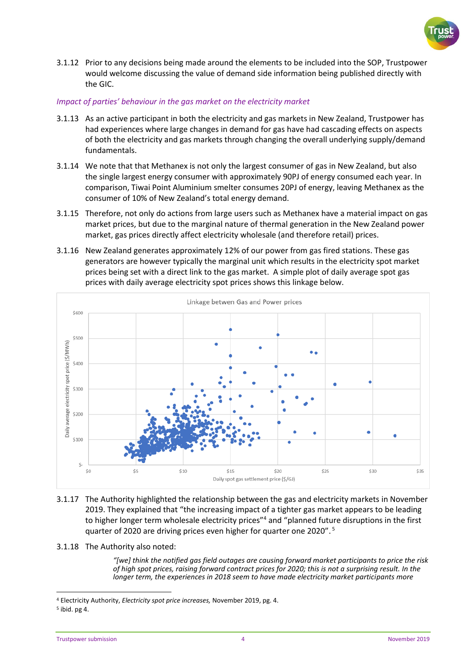

3.1.12 Prior to any decisions being made around the elements to be included into the SOP, Trustpower would welcome discussing the value of demand side information being published directly with the GIC.

#### *Impact of parties' behaviour in the gas market on the electricity market*

- 3.1.13 As an active participant in both the electricity and gas markets in New Zealand, Trustpower has had experiences where large changes in demand for gas have had cascading effects on aspects of both the electricity and gas markets through changing the overall underlying supply/demand fundamentals.
- 3.1.14 We note that that Methanex is not only the largest consumer of gas in New Zealand, but also the single largest energy consumer with approximately 90PJ of energy consumed each year. In comparison, Tiwai Point Aluminium smelter consumes 20PJ of energy, leaving Methanex as the consumer of 10% of New Zealand's total energy demand.
- 3.1.15 Therefore, not only do actions from large users such as Methanex have a material impact on gas market prices, but due to the marginal nature of thermal generation in the New Zealand power market, gas prices directly affect electricity wholesale (and therefore retail) prices.
- 3.1.16 New Zealand generates approximately 12% of our power from gas fired stations. These gas generators are however typically the marginal unit which results in the electricity spot market prices being set with a direct link to the gas market. A simple plot of daily average spot gas prices with daily average electricity spot prices shows this linkage below.



- 3.1.17 The Authority highlighted the relationship between the gas and electricity markets in November 2019. They explained that "the increasing impact of a tighter gas market appears to be leading to higher longer term wholesale electricity prices"<sup>4</sup> and "planned future disruptions in the first quarter of 2020 are driving prices even higher for quarter one 2020".<sup>5</sup>
- 3.1.18 The Authority also noted:

*"[we] think the notified gas field outages are causing forward market participants to price the risk of high spot prices, raising forward contract prices for 2020; this is not a surprising result. In the longer term, the experiences in 2018 seem to have made electricity market participants more* 

<sup>4</sup> Electricity Authority, *Electricity spot price increases,* November 2019, pg. 4.

<sup>5</sup> ibid. pg 4.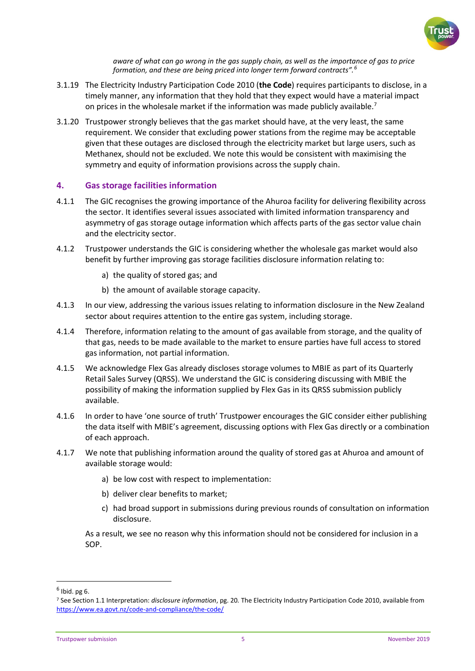

*aware of what can go wrong in the gas supply chain, as well as the importance of gas to price formation, and these are being priced into longer term forward contracts".<sup>6</sup>*

- 3.1.19 The Electricity Industry Participation Code 2010 (**the Code**) requires participants to disclose, in a timely manner, any information that they hold that they expect would have a material impact on prices in the wholesale market if the information was made publicly available.<sup>7</sup>
- 3.1.20 Trustpower strongly believes that the gas market should have, at the very least, the same requirement. We consider that excluding power stations from the regime may be acceptable given that these outages are disclosed through the electricity market but large users, such as Methanex, should not be excluded. We note this would be consistent with maximising the symmetry and equity of information provisions across the supply chain.

# **4. Gas storage facilities information**

- 4.1.1 The GIC recognises the growing importance of the Ahuroa facility for delivering flexibility across the sector. It identifies several issues associated with limited information transparency and asymmetry of gas storage outage information which affects parts of the gas sector value chain and the electricity sector.
- 4.1.2 Trustpower understands the GIC is considering whether the wholesale gas market would also benefit by further improving gas storage facilities disclosure information relating to:
	- a) the quality of stored gas; and
	- b) the amount of available storage capacity.
- 4.1.3 In our view, addressing the various issues relating to information disclosure in the New Zealand sector about requires attention to the entire gas system, including storage.
- 4.1.4 Therefore, information relating to the amount of gas available from storage, and the quality of that gas, needs to be made available to the market to ensure parties have full access to stored gas information, not partial information.
- 4.1.5 We acknowledge Flex Gas already discloses storage volumes to MBIE as part of its Quarterly Retail Sales Survey (QRSS). We understand the GIC is considering discussing with MBIE the possibility of making the information supplied by Flex Gas in its QRSS submission publicly available.
- 4.1.6 In order to have 'one source of truth' Trustpower encourages the GIC consider either publishing the data itself with MBIE's agreement, discussing options with Flex Gas directly or a combination of each approach.
- 4.1.7 We note that publishing information around the quality of stored gas at Ahuroa and amount of available storage would:
	- a) be low cost with respect to implementation:
	- b) deliver clear benefits to market;
	- c) had broad support in submissions during previous rounds of consultation on information disclosure.

As a result, we see no reason why this information should not be considered for inclusion in a SOP.

 $^6$  Ibid. pg 6.

<sup>7</sup> See Section 1.1 Interpretation: *disclosure information*, pg. 20*.* The Electricity Industry Participation Code 2010, available from <https://www.ea.govt.nz/code-and-compliance/the-code/>